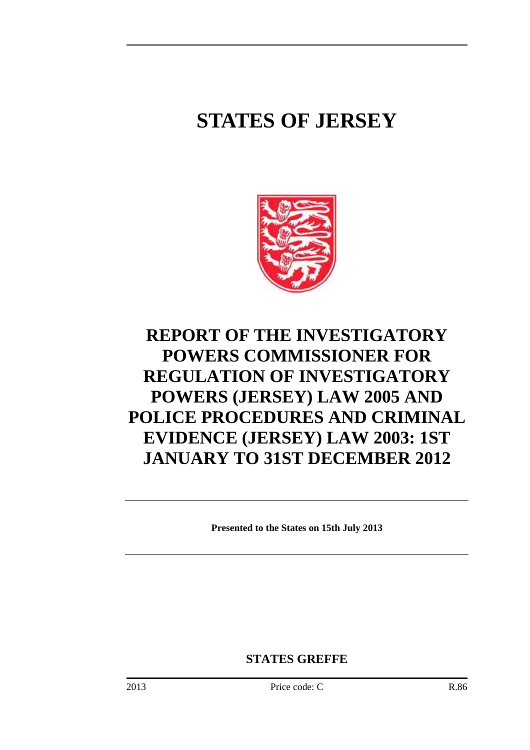# **STATES OF JERSEY**



# **REPORT OF THE INVESTIGATORY POWERS COMMISSIONER FOR REGULATION OF INVESTIGATORY POWERS (JERSEY) LAW 2005 AND POLICE PROCEDURES AND CRIMINAL EVIDENCE (JERSEY) LAW 2003: 1ST JANUARY TO 31ST DECEMBER 2012**

**Presented to the States on 15th July 2013** 

**STATES GREFFE**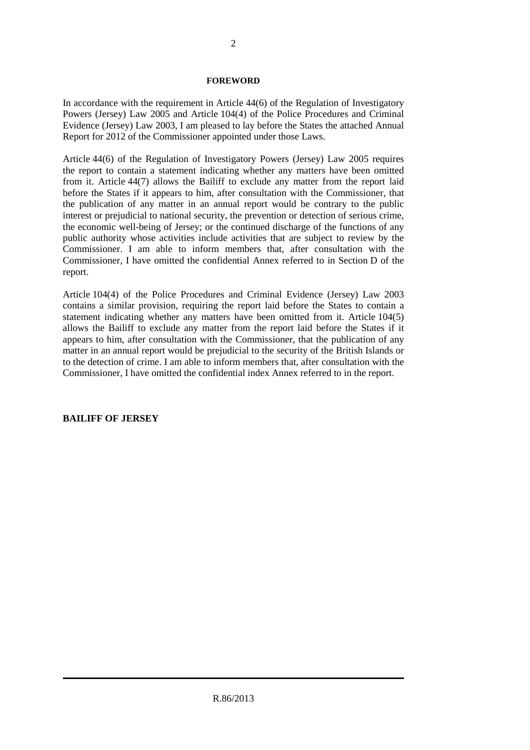#### **FOREWORD**

In accordance with the requirement in Article 44(6) of the Regulation of Investigatory Powers (Jersey) Law 2005 and Article 104(4) of the Police Procedures and Criminal Evidence (Jersey) Law 2003, I am pleased to lay before the States the attached Annual Report for 2012 of the Commissioner appointed under those Laws.

Article 44(6) of the Regulation of Investigatory Powers (Jersey) Law 2005 requires the report to contain a statement indicating whether any matters have been omitted from it. Article 44(7) allows the Bailiff to exclude any matter from the report laid before the States if it appears to him, after consultation with the Commissioner, that the publication of any matter in an annual report would be contrary to the public interest or prejudicial to national security, the prevention or detection of serious crime, the economic well-being of Jersey; or the continued discharge of the functions of any public authority whose activities include activities that are subject to review by the Commissioner. I am able to inform members that, after consultation with the Commissioner, I have omitted the confidential Annex referred to in Section D of the report.

Article 104(4) of the Police Procedures and Criminal Evidence (Jersey) Law 2003 contains a similar provision, requiring the report laid before the States to contain a statement indicating whether any matters have been omitted from it. Article 104(5) allows the Bailiff to exclude any matter from the report laid before the States if it appears to him, after consultation with the Commissioner, that the publication of any matter in an annual report would be prejudicial to the security of the British Islands or to the detection of crime. I am able to inform members that, after consultation with the Commissioner, I have omitted the confidential index Annex referred to in the report.

#### **BAILIFF OF JERSEY**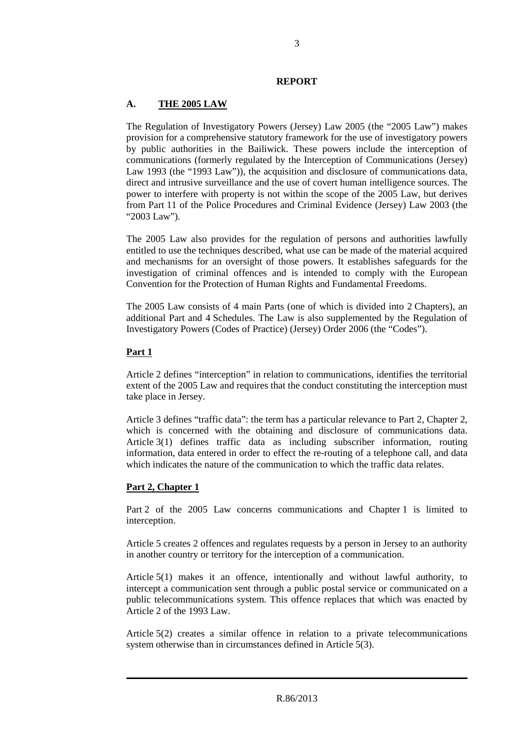#### **REPORT**

## **A. THE 2005 LAW**

The Regulation of Investigatory Powers (Jersey) Law 2005 (the "2005 Law") makes provision for a comprehensive statutory framework for the use of investigatory powers by public authorities in the Bailiwick. These powers include the interception of communications (formerly regulated by the Interception of Communications (Jersey) Law 1993 (the "1993 Law")), the acquisition and disclosure of communications data, direct and intrusive surveillance and the use of covert human intelligence sources. The power to interfere with property is not within the scope of the 2005 Law, but derives from Part 11 of the Police Procedures and Criminal Evidence (Jersey) Law 2003 (the "2003 Law").

The 2005 Law also provides for the regulation of persons and authorities lawfully entitled to use the techniques described, what use can be made of the material acquired and mechanisms for an oversight of those powers. It establishes safeguards for the investigation of criminal offences and is intended to comply with the European Convention for the Protection of Human Rights and Fundamental Freedoms.

The 2005 Law consists of 4 main Parts (one of which is divided into 2 Chapters), an additional Part and 4 Schedules. The Law is also supplemented by the Regulation of Investigatory Powers (Codes of Practice) (Jersey) Order 2006 (the "Codes").

### **Part 1**

Article 2 defines "interception" in relation to communications, identifies the territorial extent of the 2005 Law and requires that the conduct constituting the interception must take place in Jersey.

Article 3 defines "traffic data": the term has a particular relevance to Part 2, Chapter 2, which is concerned with the obtaining and disclosure of communications data. Article 3(1) defines traffic data as including subscriber information, routing information, data entered in order to effect the re-routing of a telephone call, and data which indicates the nature of the communication to which the traffic data relates.

# **Part 2, Chapter 1**

Part 2 of the 2005 Law concerns communications and Chapter 1 is limited to interception.

Article 5 creates 2 offences and regulates requests by a person in Jersey to an authority in another country or territory for the interception of a communication.

Article 5(1) makes it an offence, intentionally and without lawful authority, to intercept a communication sent through a public postal service or communicated on a public telecommunications system. This offence replaces that which was enacted by Article 2 of the 1993 Law.

Article 5(2) creates a similar offence in relation to a private telecommunications system otherwise than in circumstances defined in Article 5(3).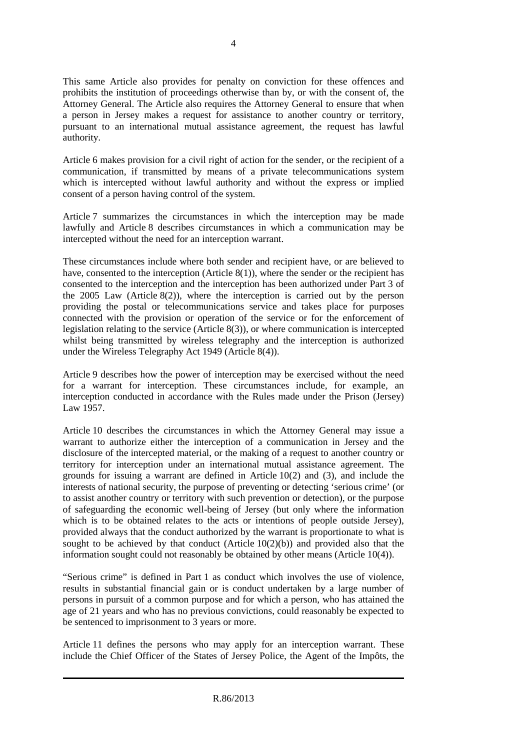This same Article also provides for penalty on conviction for these offences and prohibits the institution of proceedings otherwise than by, or with the consent of, the Attorney General. The Article also requires the Attorney General to ensure that when a person in Jersey makes a request for assistance to another country or territory, pursuant to an international mutual assistance agreement, the request has lawful authority.

Article 6 makes provision for a civil right of action for the sender, or the recipient of a communication, if transmitted by means of a private telecommunications system which is intercepted without lawful authority and without the express or implied consent of a person having control of the system.

Article 7 summarizes the circumstances in which the interception may be made lawfully and Article 8 describes circumstances in which a communication may be intercepted without the need for an interception warrant.

These circumstances include where both sender and recipient have, or are believed to have, consented to the interception (Article 8(1)), where the sender or the recipient has consented to the interception and the interception has been authorized under Part 3 of the 2005 Law (Article 8(2)), where the interception is carried out by the person providing the postal or telecommunications service and takes place for purposes connected with the provision or operation of the service or for the enforcement of legislation relating to the service (Article 8(3)), or where communication is intercepted whilst being transmitted by wireless telegraphy and the interception is authorized under the Wireless Telegraphy Act 1949 (Article 8(4)).

Article 9 describes how the power of interception may be exercised without the need for a warrant for interception. These circumstances include, for example, an interception conducted in accordance with the Rules made under the Prison (Jersey) Law 1957.

Article 10 describes the circumstances in which the Attorney General may issue a warrant to authorize either the interception of a communication in Jersey and the disclosure of the intercepted material, or the making of a request to another country or territory for interception under an international mutual assistance agreement. The grounds for issuing a warrant are defined in Article 10(2) and (3), and include the interests of national security, the purpose of preventing or detecting 'serious crime' (or to assist another country or territory with such prevention or detection), or the purpose of safeguarding the economic well-being of Jersey (but only where the information which is to be obtained relates to the acts or intentions of people outside Jersey), provided always that the conduct authorized by the warrant is proportionate to what is sought to be achieved by that conduct (Article  $10(2)(b)$ ) and provided also that the information sought could not reasonably be obtained by other means (Article 10(4)).

"Serious crime" is defined in Part 1 as conduct which involves the use of violence, results in substantial financial gain or is conduct undertaken by a large number of persons in pursuit of a common purpose and for which a person, who has attained the age of 21 years and who has no previous convictions, could reasonably be expected to be sentenced to imprisonment to 3 years or more.

Article 11 defines the persons who may apply for an interception warrant. These include the Chief Officer of the States of Jersey Police, the Agent of the Impôts, the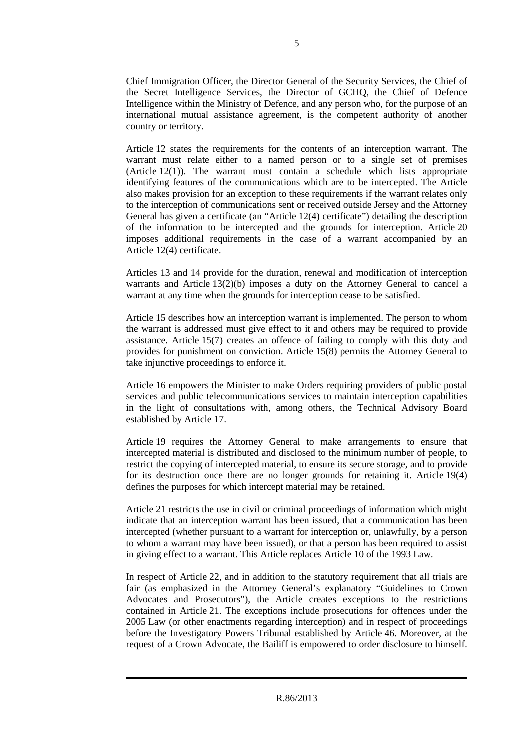Chief Immigration Officer, the Director General of the Security Services, the Chief of the Secret Intelligence Services, the Director of GCHQ, the Chief of Defence Intelligence within the Ministry of Defence, and any person who, for the purpose of an international mutual assistance agreement, is the competent authority of another country or territory.

Article 12 states the requirements for the contents of an interception warrant. The warrant must relate either to a named person or to a single set of premises (Article 12(1)). The warrant must contain a schedule which lists appropriate identifying features of the communications which are to be intercepted. The Article also makes provision for an exception to these requirements if the warrant relates only to the interception of communications sent or received outside Jersey and the Attorney General has given a certificate (an "Article 12(4) certificate") detailing the description of the information to be intercepted and the grounds for interception. Article 20 imposes additional requirements in the case of a warrant accompanied by an Article 12(4) certificate.

Articles 13 and 14 provide for the duration, renewal and modification of interception warrants and Article 13(2)(b) imposes a duty on the Attorney General to cancel a warrant at any time when the grounds for interception cease to be satisfied.

Article 15 describes how an interception warrant is implemented. The person to whom the warrant is addressed must give effect to it and others may be required to provide assistance. Article 15(7) creates an offence of failing to comply with this duty and provides for punishment on conviction. Article 15(8) permits the Attorney General to take injunctive proceedings to enforce it.

Article 16 empowers the Minister to make Orders requiring providers of public postal services and public telecommunications services to maintain interception capabilities in the light of consultations with, among others, the Technical Advisory Board established by Article 17.

Article 19 requires the Attorney General to make arrangements to ensure that intercepted material is distributed and disclosed to the minimum number of people, to restrict the copying of intercepted material, to ensure its secure storage, and to provide for its destruction once there are no longer grounds for retaining it. Article 19(4) defines the purposes for which intercept material may be retained.

Article 21 restricts the use in civil or criminal proceedings of information which might indicate that an interception warrant has been issued, that a communication has been intercepted (whether pursuant to a warrant for interception or, unlawfully, by a person to whom a warrant may have been issued), or that a person has been required to assist in giving effect to a warrant. This Article replaces Article 10 of the 1993 Law.

In respect of Article 22, and in addition to the statutory requirement that all trials are fair (as emphasized in the Attorney General's explanatory "Guidelines to Crown Advocates and Prosecutors"), the Article creates exceptions to the restrictions contained in Article 21. The exceptions include prosecutions for offences under the 2005 Law (or other enactments regarding interception) and in respect of proceedings before the Investigatory Powers Tribunal established by Article 46. Moreover, at the request of a Crown Advocate, the Bailiff is empowered to order disclosure to himself.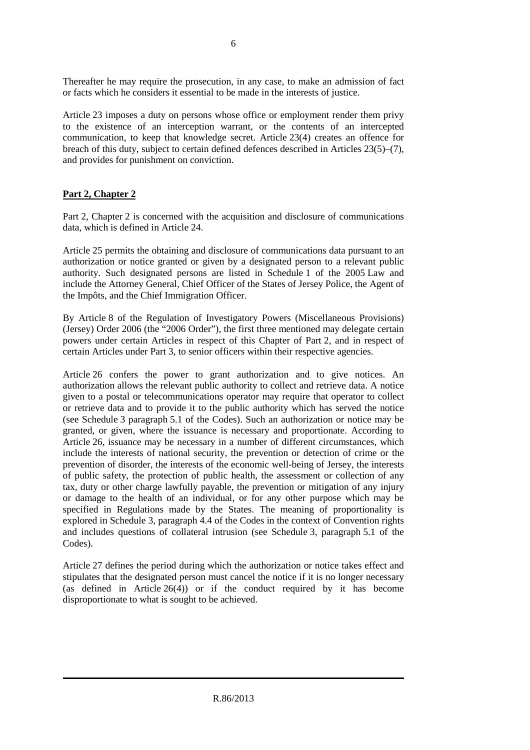Thereafter he may require the prosecution, in any case, to make an admission of fact or facts which he considers it essential to be made in the interests of justice.

Article 23 imposes a duty on persons whose office or employment render them privy to the existence of an interception warrant, or the contents of an intercepted communication, to keep that knowledge secret. Article 23(4) creates an offence for breach of this duty, subject to certain defined defences described in Articles 23(5)–(7), and provides for punishment on conviction.

# **Part 2, Chapter 2**

Part 2, Chapter 2 is concerned with the acquisition and disclosure of communications data, which is defined in Article 24.

Article 25 permits the obtaining and disclosure of communications data pursuant to an authorization or notice granted or given by a designated person to a relevant public authority. Such designated persons are listed in Schedule 1 of the 2005 Law and include the Attorney General, Chief Officer of the States of Jersey Police, the Agent of the Impôts, and the Chief Immigration Officer.

By Article 8 of the Regulation of Investigatory Powers (Miscellaneous Provisions) (Jersey) Order 2006 (the "2006 Order"), the first three mentioned may delegate certain powers under certain Articles in respect of this Chapter of Part 2, and in respect of certain Articles under Part 3, to senior officers within their respective agencies.

Article 26 confers the power to grant authorization and to give notices. An authorization allows the relevant public authority to collect and retrieve data. A notice given to a postal or telecommunications operator may require that operator to collect or retrieve data and to provide it to the public authority which has served the notice (see Schedule 3 paragraph 5.1 of the Codes). Such an authorization or notice may be granted, or given, where the issuance is necessary and proportionate. According to Article 26, issuance may be necessary in a number of different circumstances, which include the interests of national security, the prevention or detection of crime or the prevention of disorder, the interests of the economic well-being of Jersey, the interests of public safety, the protection of public health, the assessment or collection of any tax, duty or other charge lawfully payable, the prevention or mitigation of any injury or damage to the health of an individual, or for any other purpose which may be specified in Regulations made by the States. The meaning of proportionality is explored in Schedule 3, paragraph 4.4 of the Codes in the context of Convention rights and includes questions of collateral intrusion (see Schedule 3, paragraph 5.1 of the Codes).

Article 27 defines the period during which the authorization or notice takes effect and stipulates that the designated person must cancel the notice if it is no longer necessary (as defined in Article 26(4)) or if the conduct required by it has become disproportionate to what is sought to be achieved.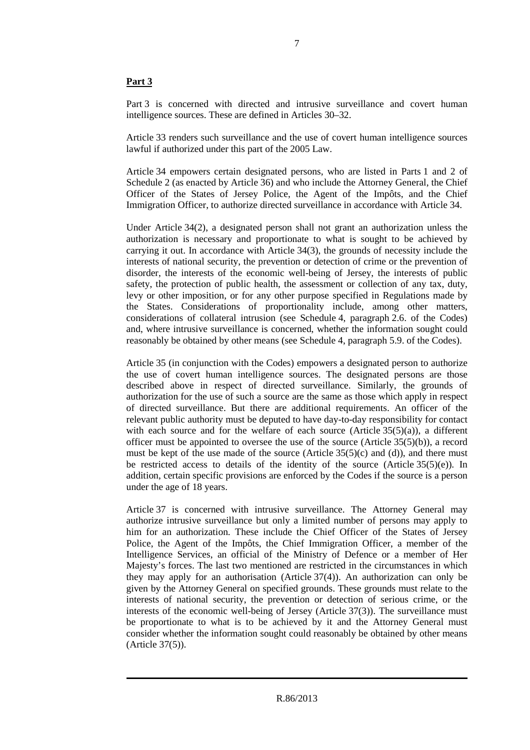### **Part 3**

Part 3 is concerned with directed and intrusive surveillance and covert human intelligence sources. These are defined in Articles 30–32.

Article 33 renders such surveillance and the use of covert human intelligence sources lawful if authorized under this part of the 2005 Law.

Article 34 empowers certain designated persons, who are listed in Parts 1 and 2 of Schedule 2 (as enacted by Article 36) and who include the Attorney General, the Chief Officer of the States of Jersey Police, the Agent of the Impôts, and the Chief Immigration Officer, to authorize directed surveillance in accordance with Article 34.

Under Article 34(2), a designated person shall not grant an authorization unless the authorization is necessary and proportionate to what is sought to be achieved by carrying it out. In accordance with Article 34(3), the grounds of necessity include the interests of national security, the prevention or detection of crime or the prevention of disorder, the interests of the economic well-being of Jersey, the interests of public safety, the protection of public health, the assessment or collection of any tax, duty, levy or other imposition, or for any other purpose specified in Regulations made by the States. Considerations of proportionality include, among other matters, considerations of collateral intrusion (see Schedule 4, paragraph 2.6. of the Codes) and, where intrusive surveillance is concerned, whether the information sought could reasonably be obtained by other means (see Schedule 4, paragraph 5.9. of the Codes).

Article 35 (in conjunction with the Codes) empowers a designated person to authorize the use of covert human intelligence sources. The designated persons are those described above in respect of directed surveillance. Similarly, the grounds of authorization for the use of such a source are the same as those which apply in respect of directed surveillance. But there are additional requirements. An officer of the relevant public authority must be deputed to have day-to-day responsibility for contact with each source and for the welfare of each source (Article  $35(5)(a)$ ), a different officer must be appointed to oversee the use of the source (Article  $35(5)(b)$ ), a record must be kept of the use made of the source (Article  $35(5)(c)$  and (d)), and there must be restricted access to details of the identity of the source (Article 35(5)(e)). In addition, certain specific provisions are enforced by the Codes if the source is a person under the age of 18 years.

Article 37 is concerned with intrusive surveillance. The Attorney General may authorize intrusive surveillance but only a limited number of persons may apply to him for an authorization. These include the Chief Officer of the States of Jersey Police, the Agent of the Impôts, the Chief Immigration Officer, a member of the Intelligence Services, an official of the Ministry of Defence or a member of Her Majesty's forces. The last two mentioned are restricted in the circumstances in which they may apply for an authorisation (Article 37(4)). An authorization can only be given by the Attorney General on specified grounds. These grounds must relate to the interests of national security, the prevention or detection of serious crime, or the interests of the economic well-being of Jersey (Article 37(3)). The surveillance must be proportionate to what is to be achieved by it and the Attorney General must consider whether the information sought could reasonably be obtained by other means (Article 37(5)).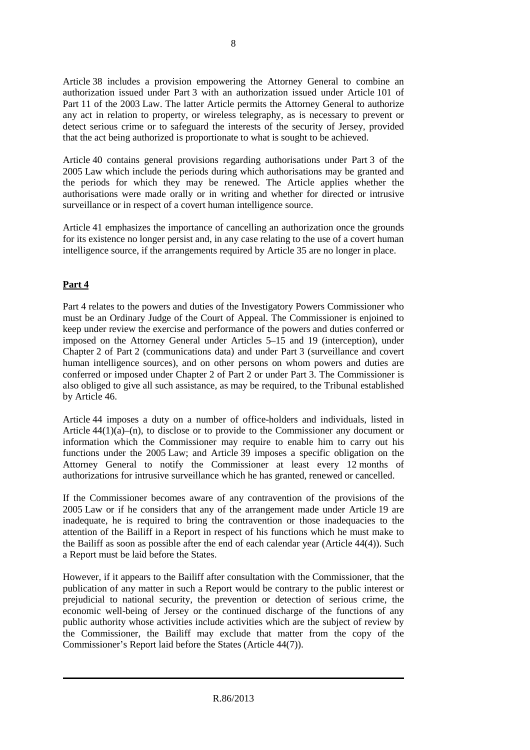Article 38 includes a provision empowering the Attorney General to combine an authorization issued under Part 3 with an authorization issued under Article 101 of Part 11 of the 2003 Law. The latter Article permits the Attorney General to authorize any act in relation to property, or wireless telegraphy, as is necessary to prevent or detect serious crime or to safeguard the interests of the security of Jersey, provided that the act being authorized is proportionate to what is sought to be achieved.

Article 40 contains general provisions regarding authorisations under Part 3 of the 2005 Law which include the periods during which authorisations may be granted and the periods for which they may be renewed. The Article applies whether the authorisations were made orally or in writing and whether for directed or intrusive surveillance or in respect of a covert human intelligence source.

Article 41 emphasizes the importance of cancelling an authorization once the grounds for its existence no longer persist and, in any case relating to the use of a covert human intelligence source, if the arrangements required by Article 35 are no longer in place.

# **Part 4**

Part 4 relates to the powers and duties of the Investigatory Powers Commissioner who must be an Ordinary Judge of the Court of Appeal. The Commissioner is enjoined to keep under review the exercise and performance of the powers and duties conferred or imposed on the Attorney General under Articles 5–15 and 19 (interception), under Chapter 2 of Part 2 (communications data) and under Part 3 (surveillance and covert human intelligence sources), and on other persons on whom powers and duties are conferred or imposed under Chapter 2 of Part 2 or under Part 3. The Commissioner is also obliged to give all such assistance, as may be required, to the Tribunal established by Article 46.

Article 44 imposes a duty on a number of office-holders and individuals, listed in Article 44(1)(a)–(n), to disclose or to provide to the Commissioner any document or information which the Commissioner may require to enable him to carry out his functions under the 2005 Law; and Article 39 imposes a specific obligation on the Attorney General to notify the Commissioner at least every 12 months of authorizations for intrusive surveillance which he has granted, renewed or cancelled.

If the Commissioner becomes aware of any contravention of the provisions of the 2005 Law or if he considers that any of the arrangement made under Article 19 are inadequate, he is required to bring the contravention or those inadequacies to the attention of the Bailiff in a Report in respect of his functions which he must make to the Bailiff as soon as possible after the end of each calendar year (Article 44(4)). Such a Report must be laid before the States.

However, if it appears to the Bailiff after consultation with the Commissioner, that the publication of any matter in such a Report would be contrary to the public interest or prejudicial to national security, the prevention or detection of serious crime, the economic well-being of Jersey or the continued discharge of the functions of any public authority whose activities include activities which are the subject of review by the Commissioner, the Bailiff may exclude that matter from the copy of the Commissioner's Report laid before the States (Article 44(7)).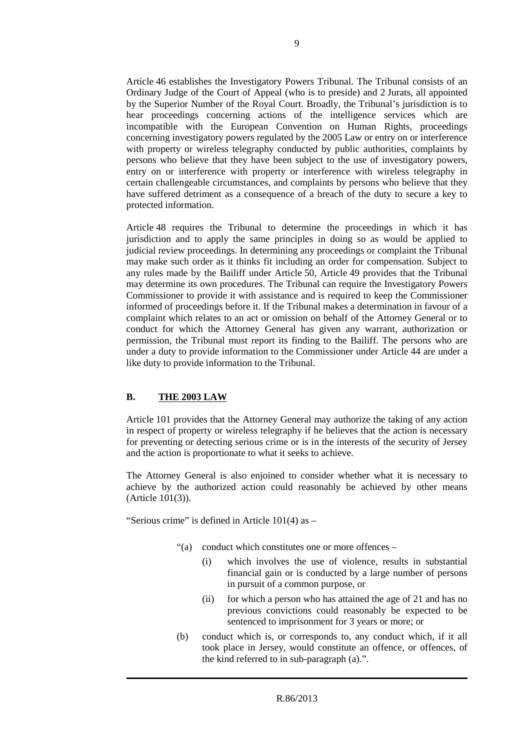Article 46 establishes the Investigatory Powers Tribunal. The Tribunal consists of an Ordinary Judge of the Court of Appeal (who is to preside) and 2 Jurats, all appointed by the Superior Number of the Royal Court. Broadly, the Tribunal's jurisdiction is to hear proceedings concerning actions of the intelligence services which are incompatible with the European Convention on Human Rights, proceedings concerning investigatory powers regulated by the 2005 Law or entry on or interference with property or wireless telegraphy conducted by public authorities, complaints by persons who believe that they have been subject to the use of investigatory powers, entry on or interference with property or interference with wireless telegraphy in certain challengeable circumstances, and complaints by persons who believe that they have suffered detriment as a consequence of a breach of the duty to secure a key to protected information.

Article 48 requires the Tribunal to determine the proceedings in which it has jurisdiction and to apply the same principles in doing so as would be applied to judicial review proceedings. In determining any proceedings or complaint the Tribunal may make such order as it thinks fit including an order for compensation. Subject to any rules made by the Bailiff under Article 50, Article 49 provides that the Tribunal may determine its own procedures. The Tribunal can require the Investigatory Powers Commissioner to provide it with assistance and is required to keep the Commissioner informed of proceedings before it. If the Tribunal makes a determination in favour of a complaint which relates to an act or omission on behalf of the Attorney General or to conduct for which the Attorney General has given any warrant, authorization or permission, the Tribunal must report its finding to the Bailiff. The persons who are under a duty to provide information to the Commissioner under Article 44 are under a like duty to provide information to the Tribunal.

### **B. THE 2003 LAW**

Article 101 provides that the Attorney General may authorize the taking of any action in respect of property or wireless telegraphy if he believes that the action is necessary for preventing or detecting serious crime or is in the interests of the security of Jersey and the action is proportionate to what it seeks to achieve.

The Attorney General is also enjoined to consider whether what it is necessary to achieve by the authorized action could reasonably be achieved by other means (Article 101(3)).

"Serious crime" is defined in Article  $101(4)$  as  $-$ 

- "(a) conduct which constitutes one or more offences
	- (i) which involves the use of violence, results in substantial financial gain or is conducted by a large number of persons in pursuit of a common purpose, or
	- (ii) for which a person who has attained the age of 21 and has no previous convictions could reasonably be expected to be sentenced to imprisonment for 3 years or more; or
- (b) conduct which is, or corresponds to, any conduct which, if it all took place in Jersey, would constitute an offence, or offences, of the kind referred to in sub-paragraph (a).".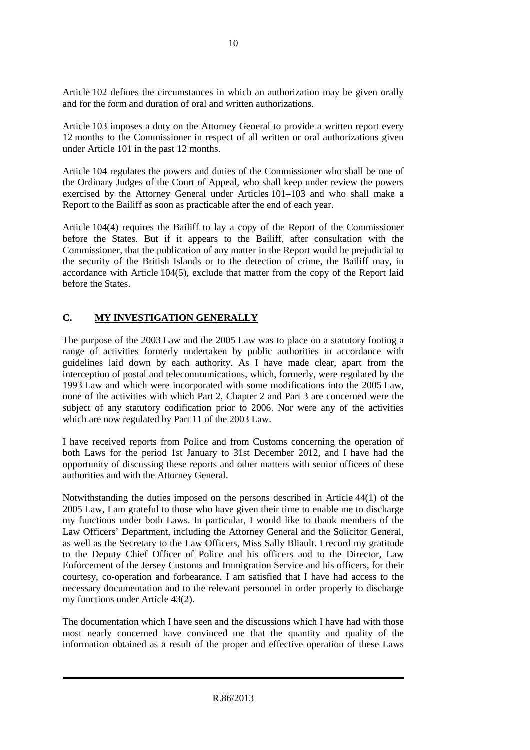Article 102 defines the circumstances in which an authorization may be given orally and for the form and duration of oral and written authorizations.

Article 103 imposes a duty on the Attorney General to provide a written report every 12 months to the Commissioner in respect of all written or oral authorizations given under Article 101 in the past 12 months.

Article 104 regulates the powers and duties of the Commissioner who shall be one of the Ordinary Judges of the Court of Appeal, who shall keep under review the powers exercised by the Attorney General under Articles 101–103 and who shall make a Report to the Bailiff as soon as practicable after the end of each year.

Article 104(4) requires the Bailiff to lay a copy of the Report of the Commissioner before the States. But if it appears to the Bailiff, after consultation with the Commissioner, that the publication of any matter in the Report would be prejudicial to the security of the British Islands or to the detection of crime, the Bailiff may, in accordance with Article 104(5), exclude that matter from the copy of the Report laid before the States.

# **C. MY INVESTIGATION GENERALLY**

The purpose of the 2003 Law and the 2005 Law was to place on a statutory footing a range of activities formerly undertaken by public authorities in accordance with guidelines laid down by each authority. As I have made clear, apart from the interception of postal and telecommunications, which, formerly, were regulated by the 1993 Law and which were incorporated with some modifications into the 2005 Law, none of the activities with which Part 2, Chapter 2 and Part 3 are concerned were the subject of any statutory codification prior to 2006. Nor were any of the activities which are now regulated by Part 11 of the 2003 Law.

I have received reports from Police and from Customs concerning the operation of both Laws for the period 1st January to 31st December 2012, and I have had the opportunity of discussing these reports and other matters with senior officers of these authorities and with the Attorney General.

Notwithstanding the duties imposed on the persons described in Article 44(1) of the 2005 Law, I am grateful to those who have given their time to enable me to discharge my functions under both Laws. In particular, I would like to thank members of the Law Officers' Department, including the Attorney General and the Solicitor General, as well as the Secretary to the Law Officers, Miss Sally Bliault. I record my gratitude to the Deputy Chief Officer of Police and his officers and to the Director, Law Enforcement of the Jersey Customs and Immigration Service and his officers, for their courtesy, co-operation and forbearance. I am satisfied that I have had access to the necessary documentation and to the relevant personnel in order properly to discharge my functions under Article 43(2).

The documentation which I have seen and the discussions which I have had with those most nearly concerned have convinced me that the quantity and quality of the information obtained as a result of the proper and effective operation of these Laws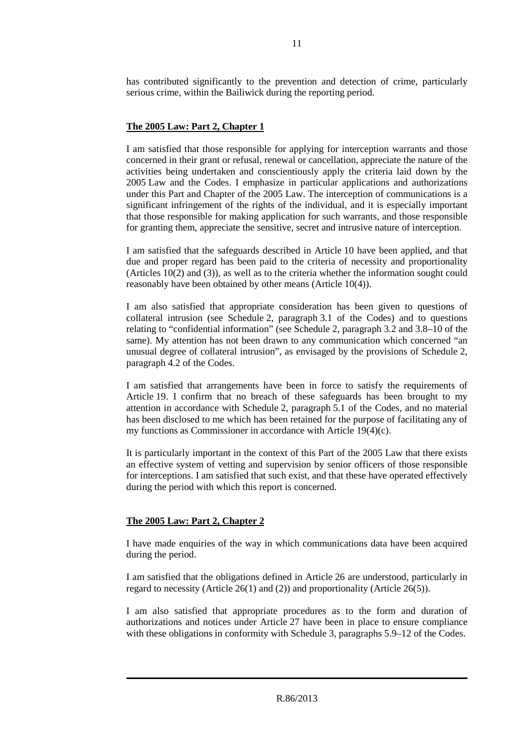has contributed significantly to the prevention and detection of crime, particularly serious crime, within the Bailiwick during the reporting period.

# **The 2005 Law: Part 2, Chapter 1**

I am satisfied that those responsible for applying for interception warrants and those concerned in their grant or refusal, renewal or cancellation, appreciate the nature of the activities being undertaken and conscientiously apply the criteria laid down by the 2005 Law and the Codes. I emphasize in particular applications and authorizations under this Part and Chapter of the 2005 Law. The interception of communications is a significant infringement of the rights of the individual, and it is especially important that those responsible for making application for such warrants, and those responsible for granting them, appreciate the sensitive, secret and intrusive nature of interception.

I am satisfied that the safeguards described in Article 10 have been applied, and that due and proper regard has been paid to the criteria of necessity and proportionality (Articles 10(2) and (3)), as well as to the criteria whether the information sought could reasonably have been obtained by other means (Article 10(4)).

I am also satisfied that appropriate consideration has been given to questions of collateral intrusion (see Schedule 2, paragraph 3.1 of the Codes) and to questions relating to "confidential information" (see Schedule 2, paragraph 3.2 and 3.8–10 of the same). My attention has not been drawn to any communication which concerned "an unusual degree of collateral intrusion", as envisaged by the provisions of Schedule 2, paragraph 4.2 of the Codes.

I am satisfied that arrangements have been in force to satisfy the requirements of Article 19. I confirm that no breach of these safeguards has been brought to my attention in accordance with Schedule 2, paragraph 5.1 of the Codes, and no material has been disclosed to me which has been retained for the purpose of facilitating any of my functions as Commissioner in accordance with Article 19(4)(c).

It is particularly important in the context of this Part of the 2005 Law that there exists an effective system of vetting and supervision by senior officers of those responsible for interceptions. I am satisfied that such exist, and that these have operated effectively during the period with which this report is concerned.

# **The 2005 Law: Part 2, Chapter 2**

I have made enquiries of the way in which communications data have been acquired during the period.

I am satisfied that the obligations defined in Article 26 are understood, particularly in regard to necessity (Article 26(1) and (2)) and proportionality (Article 26(5)).

I am also satisfied that appropriate procedures as to the form and duration of authorizations and notices under Article 27 have been in place to ensure compliance with these obligations in conformity with Schedule 3, paragraphs 5.9–12 of the Codes.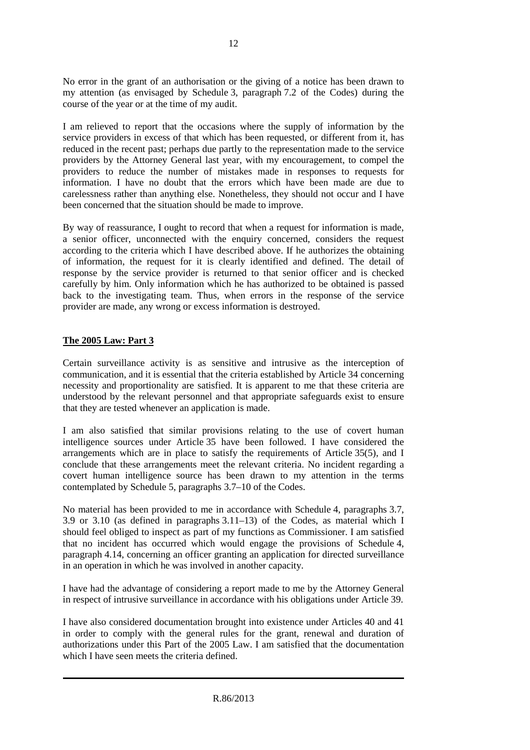No error in the grant of an authorisation or the giving of a notice has been drawn to my attention (as envisaged by Schedule 3, paragraph 7.2 of the Codes) during the course of the year or at the time of my audit.

I am relieved to report that the occasions where the supply of information by the service providers in excess of that which has been requested, or different from it, has reduced in the recent past; perhaps due partly to the representation made to the service providers by the Attorney General last year, with my encouragement, to compel the providers to reduce the number of mistakes made in responses to requests for information. I have no doubt that the errors which have been made are due to carelessness rather than anything else. Nonetheless, they should not occur and I have been concerned that the situation should be made to improve.

By way of reassurance, I ought to record that when a request for information is made, a senior officer, unconnected with the enquiry concerned, considers the request according to the criteria which I have described above. If he authorizes the obtaining of information, the request for it is clearly identified and defined. The detail of response by the service provider is returned to that senior officer and is checked carefully by him. Only information which he has authorized to be obtained is passed back to the investigating team. Thus, when errors in the response of the service provider are made, any wrong or excess information is destroyed.

#### **The 2005 Law: Part 3**

Certain surveillance activity is as sensitive and intrusive as the interception of communication, and it is essential that the criteria established by Article 34 concerning necessity and proportionality are satisfied. It is apparent to me that these criteria are understood by the relevant personnel and that appropriate safeguards exist to ensure that they are tested whenever an application is made.

I am also satisfied that similar provisions relating to the use of covert human intelligence sources under Article 35 have been followed. I have considered the arrangements which are in place to satisfy the requirements of Article 35(5), and I conclude that these arrangements meet the relevant criteria. No incident regarding a covert human intelligence source has been drawn to my attention in the terms contemplated by Schedule 5, paragraphs 3.7–10 of the Codes.

No material has been provided to me in accordance with Schedule 4, paragraphs 3.7, 3.9 or 3.10 (as defined in paragraphs 3.11–13) of the Codes, as material which I should feel obliged to inspect as part of my functions as Commissioner. I am satisfied that no incident has occurred which would engage the provisions of Schedule 4, paragraph 4.14, concerning an officer granting an application for directed surveillance in an operation in which he was involved in another capacity.

I have had the advantage of considering a report made to me by the Attorney General in respect of intrusive surveillance in accordance with his obligations under Article 39.

I have also considered documentation brought into existence under Articles 40 and 41 in order to comply with the general rules for the grant, renewal and duration of authorizations under this Part of the 2005 Law. I am satisfied that the documentation which I have seen meets the criteria defined.